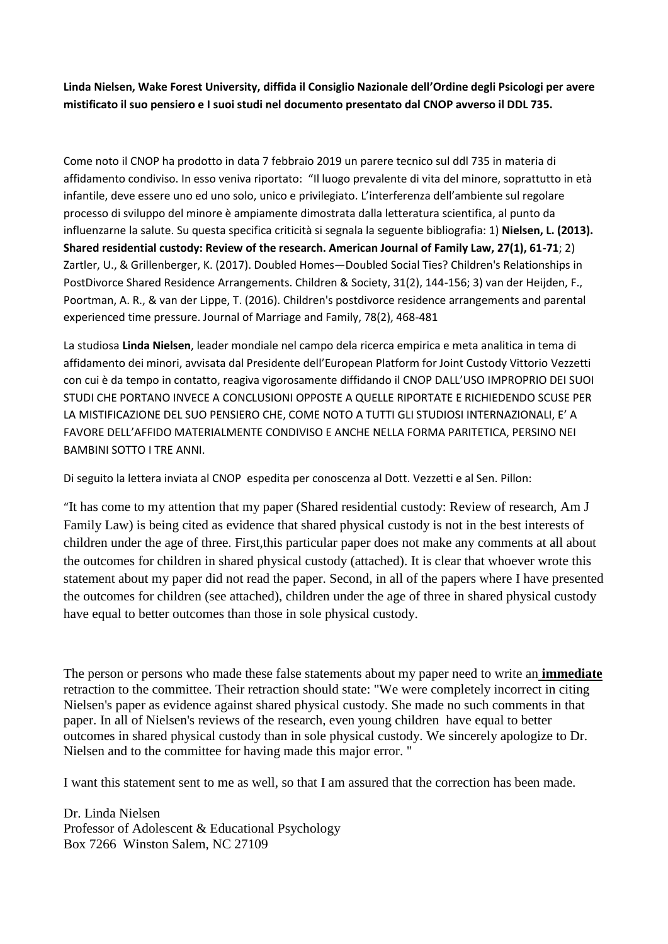**Linda Nielsen, Wake Forest University, diffida il Consiglio Nazionale dell'Ordine degli Psicologi per avere mistificato il suo pensiero e I suoi studi nel documento presentato dal CNOP avverso il DDL 735.**

Come noto il CNOP ha prodotto in data 7 febbraio 2019 un parere tecnico sul ddl 735 in materia di affidamento condiviso. In esso veniva riportato: "Il luogo prevalente di vita del minore, soprattutto in età infantile, deve essere uno ed uno solo, unico e privilegiato. L'interferenza dell'ambiente sul regolare processo di sviluppo del minore è ampiamente dimostrata dalla letteratura scientifica, al punto da influenzarne la salute. Su questa specifica criticità si segnala la seguente bibliografia: 1) **Nielsen, L. (2013). Shared residential custody: Review of the research. American Journal of Family Law, 27(1), 61-71**; 2) Zartler, U., & Grillenberger, K. (2017). Doubled Homes—Doubled Social Ties? Children's Relationships in PostDivorce Shared Residence Arrangements. Children & Society, 31(2), 144-156; 3) van der Heijden, F., Poortman, A. R., & van der Lippe, T. (2016). Children's postdivorce residence arrangements and parental experienced time pressure. Journal of Marriage and Family, 78(2), 468-481

La studiosa **Linda Nielsen**, leader mondiale nel campo dela ricerca empirica e meta analitica in tema di affidamento dei minori, avvisata dal Presidente dell'European Platform for Joint Custody Vittorio Vezzetti con cui è da tempo in contatto, reagiva vigorosamente diffidando il CNOP DALL'USO IMPROPRIO DEI SUOI STUDI CHE PORTANO INVECE A CONCLUSIONI OPPOSTE A QUELLE RIPORTATE E RICHIEDENDO SCUSE PER LA MISTIFICAZIONE DEL SUO PENSIERO CHE, COME NOTO A TUTTI GLI STUDIOSI INTERNAZIONALI, E' A FAVORE DELL'AFFIDO MATERIALMENTE CONDIVISO E ANCHE NELLA FORMA PARITETICA, PERSINO NEI BAMBINI SOTTO I TRE ANNI.

Di seguito la lettera inviata al CNOP espedita per conoscenza al Dott. Vezzetti e al Sen. Pillon:

"It has come to my attention that my paper (Shared residential custody: Review of research, Am J Family Law) is being cited as evidence that shared physical custody is not in the best interests of children under the age of three. First,this particular paper does not make any comments at all about the outcomes for children in shared physical custody (attached). It is clear that whoever wrote this statement about my paper did not read the paper. Second, in all of the papers where I have presented the outcomes for children (see attached), children under the age of three in shared physical custody have equal to better outcomes than those in sole physical custody.

The person or persons who made these false statements about my paper need to write an **immediate**  retraction to the committee. Their retraction should state: "We were completely incorrect in citing Nielsen's paper as evidence against shared physical custody. She made no such comments in that paper. In all of Nielsen's reviews of the research, even young children have equal to better outcomes in shared physical custody than in sole physical custody. We sincerely apologize to Dr. Nielsen and to the committee for having made this major error. "

I want this statement sent to me as well, so that I am assured that the correction has been made.

Dr. Linda Nielsen Professor of Adolescent & Educational Psychology Box 7266 Winston Salem, NC 27109